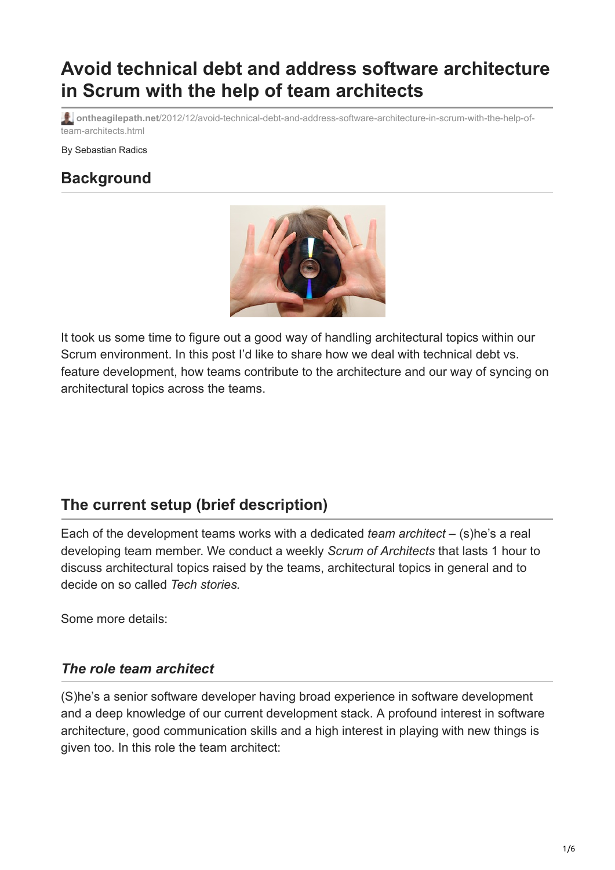# **Avoid technical debt and address software architecture in Scrum with the help of team architects**

**ontheagilepath.net**[/2012/12/avoid-technical-debt-and-address-software-architecture-in-scrum-with-the-help-of](https://www.ontheagilepath.net/2012/12/avoid-technical-debt-and-address-software-architecture-in-scrum-with-the-help-of-team-architects.html)team-architects.html

By Sebastian Radics

# **Background**



It took us some time to figure out a good way of handling architectural topics within our Scrum environment. In this post I'd like to share how we deal with technical debt vs. feature development, how teams contribute to the architecture and our way of syncing on architectural topics across the teams.

# **The current setup (brief description)**

Each of the development teams works with a dedicated *team architect* – (s)he's a real developing team member. We conduct a weekly *Scrum of Architects* that lasts 1 hour to discuss architectural topics raised by the teams, architectural topics in general and to decide on so called *Tech stories.*

Some more details:

#### *The role team architect*

(S)he's a senior software developer having broad experience in software development and a deep knowledge of our current development stack. A profound interest in software architecture, good communication skills and a high interest in playing with new things is given too. In this role the team architect: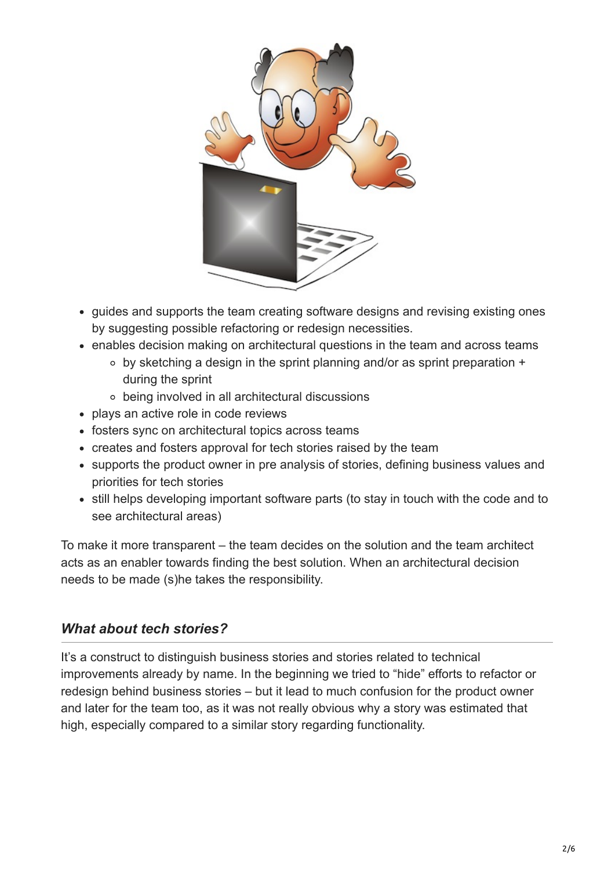

- quides and supports the team creating software designs and revising existing ones by suggesting possible refactoring or redesign necessities.
- enables decision making on architectural questions in the team and across teams
	- by sketching a design in the sprint planning and/or as sprint preparation + during the sprint
	- being involved in all architectural discussions
- plays an active role in code reviews
- fosters sync on architectural topics across teams
- creates and fosters approval for tech stories raised by the team
- supports the product owner in pre analysis of stories, defining business values and priorities for tech stories
- still helps developing important software parts (to stay in touch with the code and to see architectural areas)

To make it more transparent – the team decides on the solution and the team architect acts as an enabler towards finding the best solution. When an architectural decision needs to be made (s)he takes the responsibility.

#### *What about tech stories?*

It's a construct to distinguish business stories and stories related to technical improvements already by name. In the beginning we tried to "hide" efforts to refactor or redesign behind business stories – but it lead to much confusion for the product owner and later for the team too, as it was not really obvious why a story was estimated that high, especially compared to a similar story regarding functionality.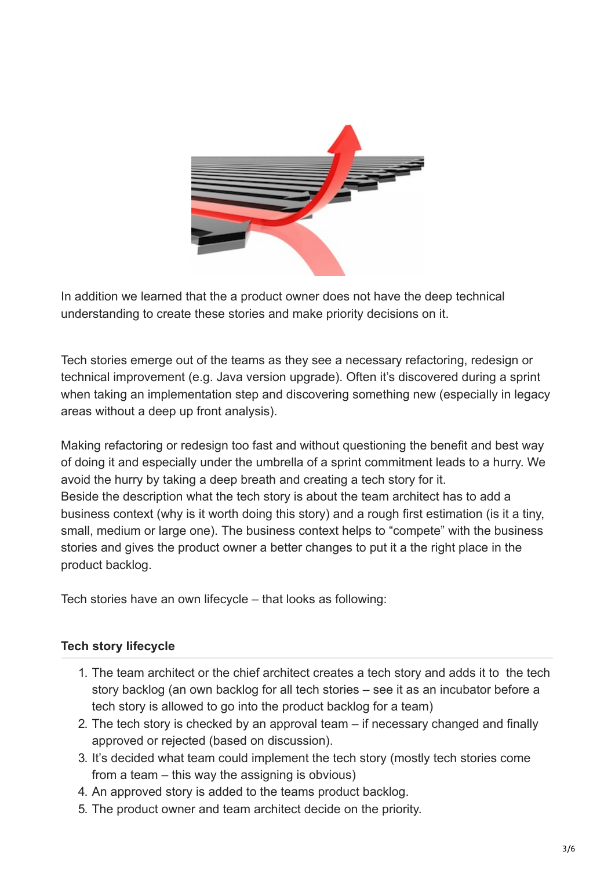

In addition we learned that the a product owner does not have the deep technical understanding to create these stories and make priority decisions on it.

Tech stories emerge out of the teams as they see a necessary refactoring, redesign or technical improvement (e.g. Java version upgrade). Often it's discovered during a sprint when taking an implementation step and discovering something new (especially in legacy areas without a deep up front analysis).

Making refactoring or redesign too fast and without questioning the benefit and best way of doing it and especially under the umbrella of a sprint commitment leads to a hurry. We avoid the hurry by taking a deep breath and creating a tech story for it. Beside the description what the tech story is about the team architect has to add a business context (why is it worth doing this story) and a rough first estimation (is it a tiny, small, medium or large one). The business context helps to "compete" with the business stories and gives the product owner a better changes to put it a the right place in the product backlog.

Tech stories have an own lifecycle – that looks as following:

#### **Tech story lifecycle**

- 1. The team architect or the chief architect creates a tech story and adds it to the tech story backlog (an own backlog for all tech stories – see it as an incubator before a tech story is allowed to go into the product backlog for a team)
- 2. The tech story is checked by an approval team if necessary changed and finally approved or rejected (based on discussion).
- 3. It's decided what team could implement the tech story (mostly tech stories come from a team – this way the assigning is obvious)
- 4. An approved story is added to the teams product backlog.
- 5. The product owner and team architect decide on the priority.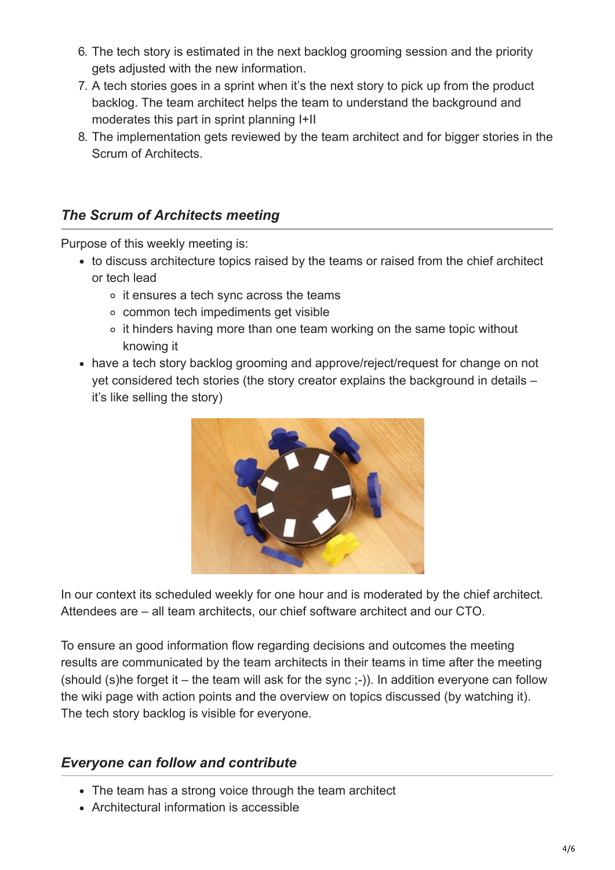- 6. The tech story is estimated in the next backlog grooming session and the priority gets adjusted with the new information.
- 7. A tech stories goes in a sprint when it's the next story to pick up from the product backlog. The team architect helps the team to understand the background and moderates this part in sprint planning I+II
- 8. The implementation gets reviewed by the team architect and for bigger stories in the Scrum of Architects.

### *The Scrum of Architects meeting*

Purpose of this weekly meeting is:

- to discuss architecture topics raised by the teams or raised from the chief architect or tech lead
	- o it ensures a tech sync across the teams
	- common tech impediments get visible
	- $\circ$  it hinders having more than one team working on the same topic without knowing it
- have a tech story backlog grooming and approve/reject/request for change on not yet considered tech stories (the story creator explains the background in details – it's like selling the story)



In our context its scheduled weekly for one hour and is moderated by the chief architect. Attendees are – all team architects, our chief software architect and our CTO.

To ensure an good information flow regarding decisions and outcomes the meeting results are communicated by the team architects in their teams in time after the meeting (should (s)he forget it – the team will ask for the sync ;-)). In addition everyone can follow the wiki page with action points and the overview on topics discussed (by watching it). The tech story backlog is visible for everyone.

#### *Everyone can follow and contribute*

- The team has a strong voice through the team architect
- Architectural information is accessible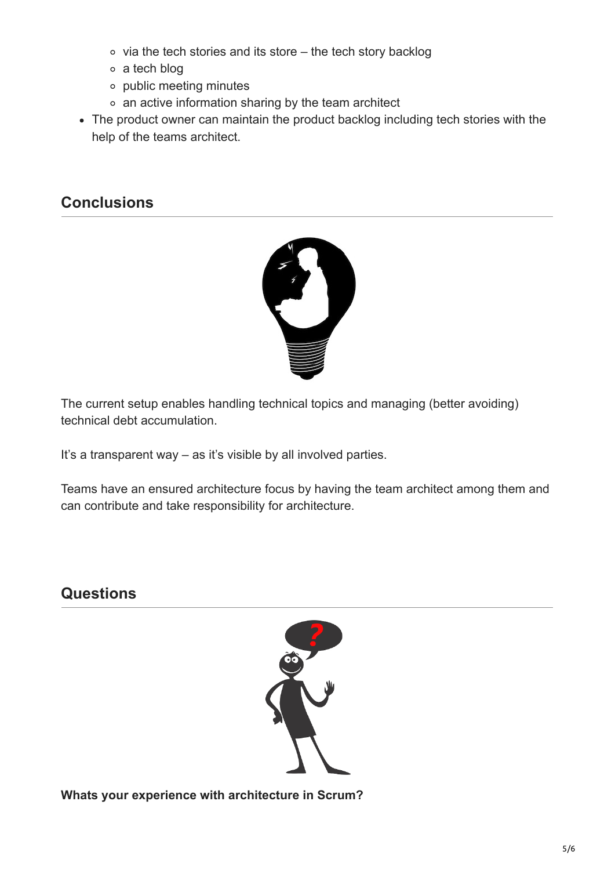- $\circ$  via the tech stories and its store the tech story backlog
- a tech blog
- public meeting minutes
- an active information sharing by the team architect
- The product owner can maintain the product backlog including tech stories with the help of the teams architect.

### **Conclusions**



The current setup enables handling technical topics and managing (better avoiding) technical debt accumulation.

It's a transparent way – as it's visible by all involved parties.

Teams have an ensured architecture focus by having the team architect among them and can contribute and take responsibility for architecture.

## **Questions**



**Whats your experience with architecture in Scrum?**